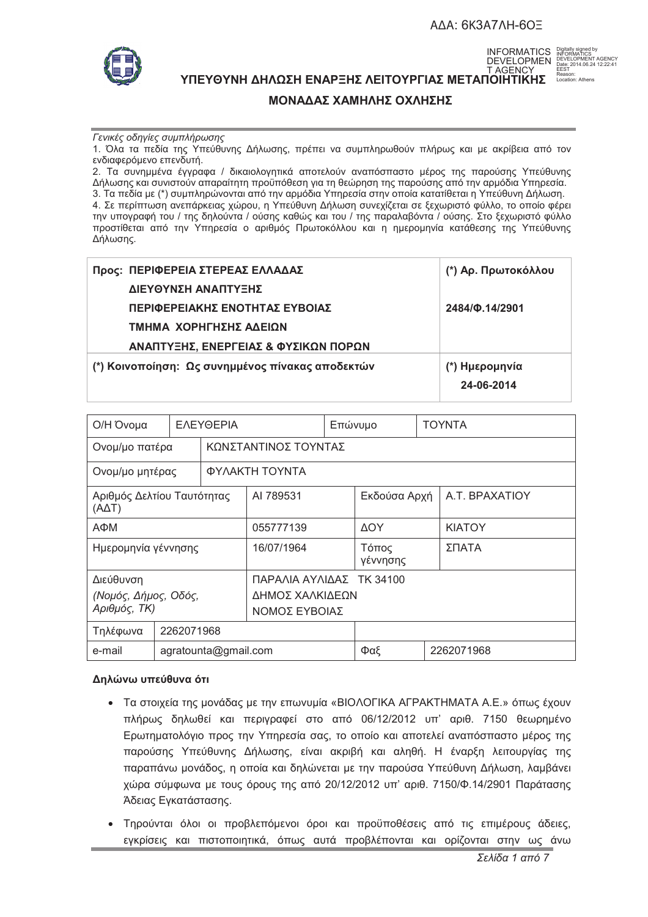# **ΑΔΑ: 6Κ3Α7ΛΗ-6ΟΞ**



ΥΠΕΥΘΥΝΗ ΔΗΛΩΣΗ ΕΝΑΡΞΗΣ ΛΕΙΤΟΥΡΓΙΑΣ ΜΕΤΑΠΟΙΗΤΙΚΗΣ ΑΠΕΔΕΣΙΔΙΑ: LGCation: Athens INFORMATICS DEVELOPMEN T AGENCY

Digitally signed by INFORMATICS DEVELOPMENT AGENCY Date: 2014.06.24 12:22:41 EEST Reason:

# **ΜΟΝΑΔΑΣ ΧΑΜΗΛΗΣ ΟΧΛΗΣΗΣ**

#### *Γενικές οδηγίες συμπλήρωσης*

1. Όλα τα πεδία της Υπεύθυνης Δήλωσης, πρέπει να συμπληρωθούν πλήρως και με ακρίβεια από τον ενδιαφερόμενο επενδυτή.

2. Τα συνημμένα έγγραφα / δικαιολογητικά αποτελούν αναπόσπαστο μέρος της παρούσης Υπεύθυνης Δήλωσης και συνιστούν απαραίτητη προϋπόθεση για τη θεώρηση της παρούσης από την αρμόδια Υπηρεσία. 3. Τα πεδία με (\*) συμπληρώνονται από την αρμόδια Υπηρεσία στην οποία κατατίθεται η Υπεύθυνη Δήλωση. 4. Σε περίπτωση ανεπάρκειας χώρου, η Υπεύθυνη Δήλωση συνεχίζεται σε ξεχωριστό φύλλο, το οποίο φέρει την υπογραφή του / της δηλούντα / ούσης καθώς και του / της παραλαβόντα / ούσης. Στο ξεχωριστό φύλλο προστίθεται από την Υπηρεσία ο αριθμός Πρωτοκόλλου και η ημερομηνία κατάθεσης της Υπεύθυνης Δήλωσης.

| Προς: ΠΕΡΙΦΕΡΕΙΑ ΣΤΕΡΕΑΣ ΕΛΛΑΔΑΣ                 | (*) Αρ. Πρωτοκόλλου |
|--------------------------------------------------|---------------------|
| ΔΙΕΥΘΥΝΣΗ ΑΝΑΠΤΥΞΗΣ                              |                     |
| ΠΕΡΙΦΕΡΕΙΑΚΗΣ ΕΝΟΤΗΤΑΣ ΕΥΒΟΙΑΣ                   | 2484/0.14/2901      |
| ΤΜΗΜΑ ΧΟΡΗΓΗΣΗΣ ΑΔΕΙΩΝ                           |                     |
| ΑΝΑΠΤΥΞΗΣ, ΕΝΕΡΓΕΙΑΣ & ΦΥΣΙΚΩΝ ΠΟΡΩΝ             |                     |
| (*) Κοινοποίηση: Ως συνημμένος πίνακας αποδεκτών | (*) Ημερομηνία      |
|                                                  | 24-06-2014          |

| Ο/Η Όνομα                                         |                      | ΕΛΕΥΘΕΡΙΑ                                                    |     | Επώνυμο           |            |                | TOYNTA |  |
|---------------------------------------------------|----------------------|--------------------------------------------------------------|-----|-------------------|------------|----------------|--------|--|
| Ονομ/μο πατέρα                                    |                      | ΚΩΝΣΤΑΝΤΙΝΟΣ ΤΟΥΝΤΑΣ                                         |     |                   |            |                |        |  |
| Ονομ/μο μητέρας                                   |                      | ΦΥΛΑΚΤΗ ΤΟΥΝΤΑ                                               |     |                   |            |                |        |  |
| Αριθμός Δελτίου Ταυτότητας<br>(AΔT)               |                      | AI 789531                                                    |     | Εκδούσα Αρχή      |            | A.T. BPAXATIOY |        |  |
| АФМ                                               |                      | 055777139                                                    |     | <b>AOY</b>        |            | <b>KIATOY</b>  |        |  |
| Ημερομηνία γέννησης                               |                      | 16/07/1964                                                   |     | Τόπος<br>γέννησης |            | ΣΠΑΤΑ          |        |  |
| Διεύθυνση<br>(Νομός, Δήμος, Οδός,<br>Αριθμός, ΤΚ) |                      | ΠΑΡΑΛΙΑ ΑΥΛΙΔΑΣ ΤΚ 34100<br>ΔΗΜΟΣ ΧΑΛΚΙΔΕΩΝ<br>ΝΟΜΟΣ ΕΥΒΟΙΑΣ |     |                   |            |                |        |  |
| Τηλέφωνα                                          |                      | 2262071968                                                   |     |                   |            |                |        |  |
| e-mail                                            | agratounta@gmail.com |                                                              | Φαξ |                   | 2262071968 |                |        |  |

## Δηλώνω υπεύθυνα ότι

- Τα στοιχεία της μονάδας με την επωνυμία «ΒΙΟΛΟΓΙΚΑ ΑΓΡΑΚΤΗΜΑΤΑ Α.Ε.» όπως έχουν πλήρως δηλωθεί και περιγραφεί στο από 06/12/2012 υπ' αριθ. 7150 θεωρημένο Ερωτηματολόγιο προς την Υπηρεσία σας, το οποίο και αποτελεί αναπόσπαστο μέρος της παρούσης Υπεύθυνης Δήλωσης, είναι ακριβή και αληθή. Η έναρξη λειτουργίας της παραπάνω μονάδος, η οποία και δηλώνεται με την παρούσα Υπεύθυνη Δήλωση, λαμβάνει χώρα σύμφωνα με τους όρους της από 20/12/2012 υπ' αριθ. 7150/Φ.14/2901 Παράτασης Άδειας Εγκατάστασης.
- · Τηρούνται όλοι οι προβλεπόμενοι όροι και προϋποθέσεις από τις επιμέρους άδειες, εγκρίσεις και πιστοποιητικά, όπως αυτά προβλέπονται και ορίζονται στην ως άνω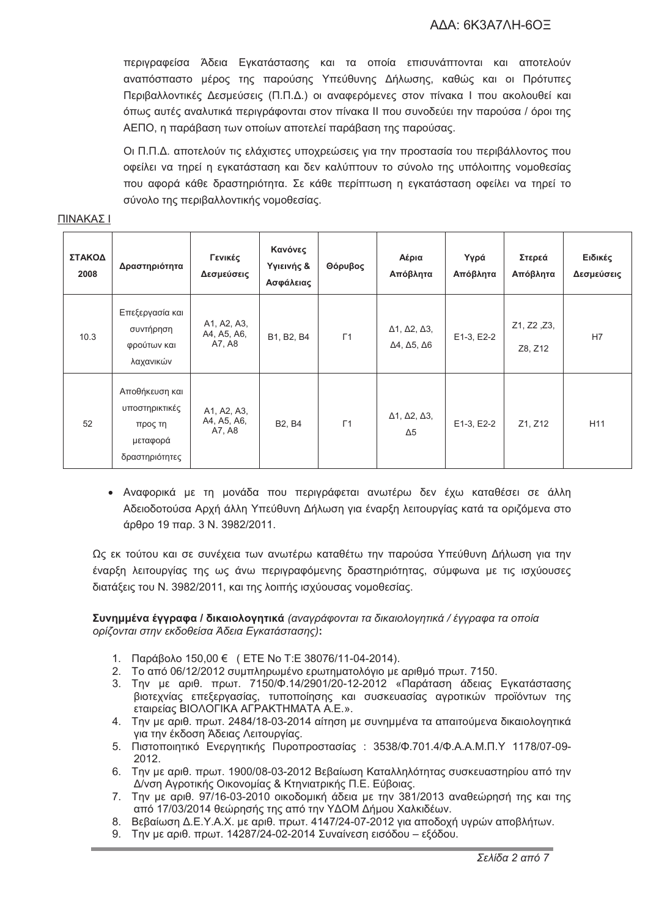# AΔA: 6K3A7ΛH-6ΟΞ

περιγραφείσα Άδεια Εγκατάστασης και τα οποία επισυνάπτονται και αποτελούν αναπόσπαστο μέρος της παρούσης Υπεύθυνης Δήλωσης, καθώς και οι Πρότυπες Περιβαλλοντικές Δεσμεύσεις (Π.Π.Δ.) οι αναφερόμενες στον πίνακα Ι που ακολουθεί και όπως αυτές αναλυτικά περιγράφονται στον πίνακα II που συνοδεύει την παρούσα / όροι της ΑΕΠΟ, η παράβαση των οποίων αποτελεί παράβαση της παρούσας.

Οι Π.Π.Δ. αποτελούν τις ελάχιστες υποχρεώσεις για την προστασία του περιβάλλοντος που οφείλει να τηρεί η εγκατάσταση και δεν καλύπτουν το σύνολο της υπόλοιπης νομοθεσίας που αφορά κάθε δραστηριότητα. Σε κάθε περίπτωση η εγκατάσταση οφείλει να τηρεί το σύνολο της περιβαλλοντικής νομοθεσίας.

| ΣΤΑΚΟΔ<br>2008 | Δραστηριότητα                                                             | Γενικές<br>Δεσμεύσεις                | Κανόνες<br>Υγιεινής &<br>Ασφάλειας | Θόρυβος    | Αέρια<br>Απόβλητα                                                         | Υγρά<br>Απόβλητα | Στερεά<br>Απόβλητα     | Ειδικές<br>Δεσμεύσεις |
|----------------|---------------------------------------------------------------------------|--------------------------------------|------------------------------------|------------|---------------------------------------------------------------------------|------------------|------------------------|-----------------------|
| 10.3           | Επεξεργασία και<br>συντήρηση<br>φρούτων και<br>λαχανικών                  | A1, A2, A3,<br>A4, A5, A6,<br>A7, A8 | B1, B2, B4                         | $\Gamma$ 1 | $\Delta$ 1, $\Delta$ 2, $\Delta$ 3,<br>$\Delta$ 4, $\Delta$ 5, $\Delta$ 6 | E1-3, E2-2       | Z1, Z2, Z3,<br>Z8, Z12 | H7                    |
| 52             | Αποθήκευση και<br>υποστηρικτικές<br>προς τη<br>μεταφορά<br>δραστηριότητες | A1, A2, A3,<br>A4, A5, A6,<br>A7, A8 | <b>B2, B4</b>                      | $\Gamma$ 1 | $\Delta$ 1, $\Delta$ 2, $\Delta$ 3,<br>$\Delta 5$                         | E1-3, E2-2       | Z1, Z12                | H <sub>11</sub>       |

#### $\Box$ INAKA $\Sigma$  I

• Αναφορικά με τη μονάδα που περιγράφεται ανωτέρω δεν έχω καταθέσει σε άλλη Αδειοδοτούσα Αρχή άλλη Υπεύθυνη Δήλωση για έναρξη λειτουργίας κατά τα οριζόμενα στο άρθρο 19 παρ. 3 Ν. 3982/2011.

Ως εκ τούτου και σε συνέχεια των ανωτέρω καταθέτω την παρούσα Υπεύθυνη Δήλωση για την έναρξη λειτουργίας της ως άνω περιγραφόμενης δραστηριότητας, σύμφωνα με τις ισχύουσες διατάξεις του Ν. 3982/2011, και της λοιπής ισχύουσας νομοθεσίας.

**Συνημμένα έγγραφα / δικαιολογητικά** (αναγράφονται τα δικαιολογητικά / έγγραφα τα οποία ορίζονται στην εκδοθείσα Άδεια Εγκατάστασης):

- 1. Παράβολο 150,00 € ( ETE No T:E 38076/11-04-2014).
- 2. Το από 06/12/2012 συμπληρωμένο ερωτηματολόγιο με αριθμό πρωτ. 7150.
- 3. Την με αριθ. πρωτ. 7150/Φ.14/2901/20-12-2012 «Παράταση άδειας Εγκατάστασης βιοτεχνίας επεξεργασίας, τυποποίησης και συσκευασίας αγροτικών προϊόντων της εταιρείας ΒΙΟΛΟΓΙΚΑ ΑΓΡΑΚΤΗΜΑΤΑ Α.Ε.».
- 4. Την με αριθ. πρωτ. 2484/18-03-2014 αίτηση με συνημμένα τα απαιτούμενα δικαιολογητικά για την έκδοση Άδειας Λειτουργίας.
- 5. Πιστοποιητικό Ενεργητικής Πυροπροστασίας : 3538/Φ.701.4/Φ.Α.Α.Μ.Π.Υ 1178/07-09-2012.
- 6. Την με αριθ. πρωτ. 1900/08-03-2012 Βεβαίωση Καταλληλότητας συσκευαστηρίου από την Δ/νση Αγροτικής Οικονομίας & Κτηνιατρικής Π.Ε. Εύβοιας.
- 7. Την με αριθ. 97/16-03-2010 οικοδομική άδεια με την 381/2013 αναθεώρησή της και της από 17/03/2014 θεώρησής της από την ΥΔΟΜ Δήμου Χαλκιδέων.
- 8. Βεβαίωση Δ.Ε.Υ.Α.Χ. με αριθ. πρωτ. 4147/24-07-2012 για αποδοχή υγρών αποβλήτων.
- 9. Την με αριθ. πρωτ. 14287/24-02-2014 Συναίνεση εισόδου εξόδου.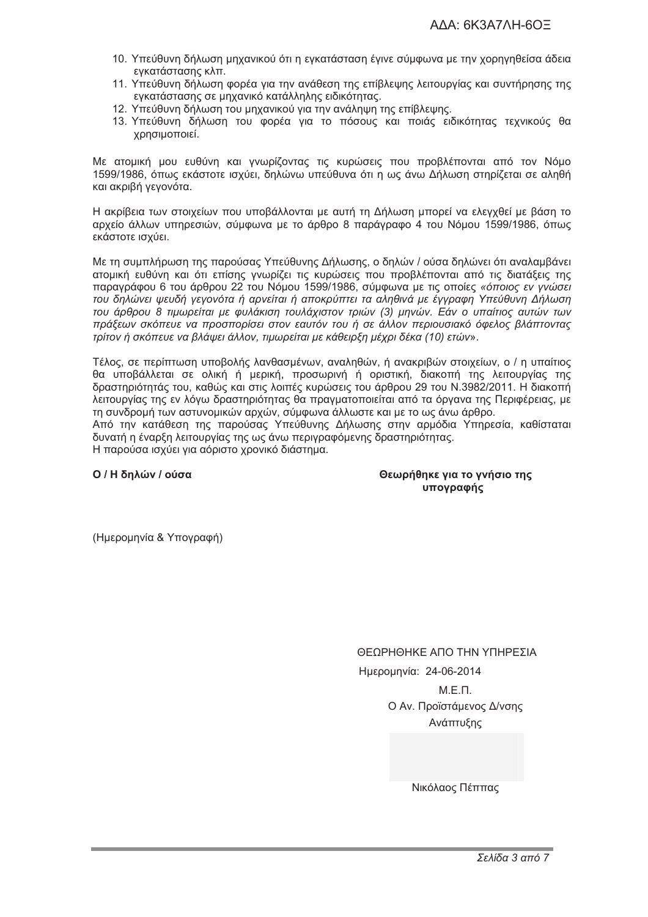- 10. Υπεύθυνη δήλωση μηχανικού ότι η εγκατάσταση έγινε σύμφωνα με την χορηγηθείσα άδεια ενκατάστασης κλπ.
- 11. Υπεύθυνη δήλωση φορέα για την ανάθεση της επίβλεψης λειτουργίας και συντήρησης της εγκατάστασης σε μηχανικό κατάλληλης ειδικότητας.
- 12. Υπεύθυνη δήλωση του μηχανικού για την ανάληψη της επίβλεψης.
- 13. Υπεύθυνη δήλωση του φορέα για το πόσους και ποιάς ειδικότητας τεχνικούς θα χρησιμοποιεί.

Με ατομική μου ευθύνη και γνωρίζοντας τις κυρώσεις που προβλέπονται από τον Νόμο 1599/1986, όπως εκάστοτε ισχύει, δηλώνω υπεύθυνα ότι η ως άνω Δήλωση στηρίζεται σε αληθή και ακριβή νενονότα.

Η ακρίβεια των στοιχείων που υποβάλλονται με αυτή τη Δήλωση μπορεί να ελεγχθεί με βάση το αρχείο άλλων υπηρεσιών, σύμφωνα με το άρθρο 8 παράνραφο 4 του Νόμου 1599/1986, όπως εκάστοτε ισχύει.

Με τη συμπλήρωση της παρούσας Υπεύθυνης Δήλωσης, ο δηλών / ούσα δηλώνει ότι αναλαμβάνει ατομική ευθύνη και ότι επίσης γνωρίζει τις κυρώσεις που προβλέπονται από τις διατάξεις της παραγράφου 6 του άρθρου 22 του Νόμου 1599/1986, σύμφωνα με τις οποίες «όποιος εν γνώσει του δηλώνει ψευδή γεγονότα ή αρνείται ή αποκρύπτει τα αληθινά με έγγραφη Υπεύθυνη Δήλωση του άρθρου 8 τιμωρείται με φυλάκιση τουλάχιστον τριών (3) μηνών. Εάν ο υπαίτιος αυτών των πράξεων σκόπευε να προσπορίσει στον εαυτόν του ή σε άλλον περιουσιακό όφελος βλάπτοντας τρίτον ή σκόπευε να βλάψει άλλον, τιμωρείται με κάθειρξη μέχρι δέκα (10) ετών».

Τέλος, σε περίπτωση υποβολής λανθασμένων, αναληθών, ή ανακριβών στοιχείων, ο / η υπαίτιος θα υποβάλλεται σε ολική ή μερική, προσωρινή ή οριστική, διακοπή της λειτουργίας της δραστηριότητάς του, καθώς και στις λοιπές κυρώσεις του άρθρου 29 του Ν.3982/2011. Η διακοπή λειτουργίας της εν λόγω δραστηριότητας θα πραγματοποιείται από τα όργανα της Περιφέρειας, με τη συνδρομή των αστυνομικών αρχών, σύμφωνα άλλωστε και με το ως άνω άρθρο.

Από την κατάθεση της παρούσας Υπεύθυνης Δήλωσης στην αρμόδια Υπηρεσία, καθίσταται δυνατή η έναρξη λειτουργίας της ως άνω περινραφόμενης δραστηριότητας.

Η παρούσα ισχύει νια αόριστο χρονικό διάστημα.

Ο / Η δηλών / ούσα

Θεωρήθηκε για το γνήσιο της υπονραφής

(Ημερομηνία & Υπογραφή)

ΘΕΩΡΗΘΗΚΕ ΑΠΟ ΤΗΝ ΥΠΗΡΕΣΙΑ Ημερομηνία: 24-06-2014  $M.E.\Pi.$ Ο Αν. Προϊστάμενος Δ/νσης Ανάπτυξης

Νικόλαος Πέππας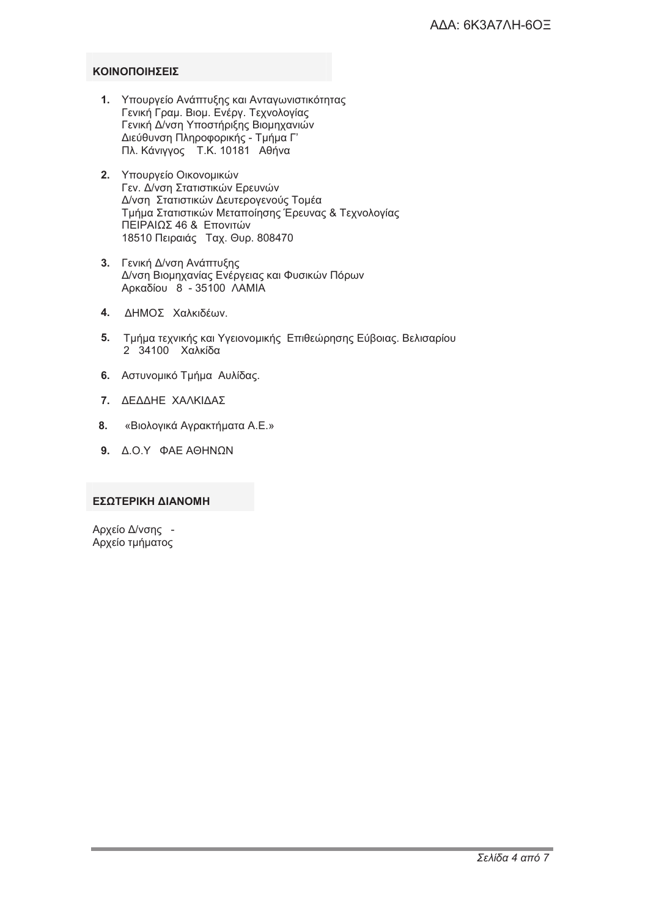# **KOINONOIHTEIT**

- 1. Υπουργείο Ανάπτυξης και Ανταγωνιστικότητας Γενική Γραμ. Βιομ. Ενέργ. Τεχνολογίας Γενική Δ/νση Υποστήριξης Βιομηχανιών Διεύθυνση Πληροφορικής - Τμήμα Γ' Πλ. Κάνιγγος Τ.Κ. 10181 Αθήνα
- 2. Υπουργείο Οικονομικών Γεν. Δ/νση Στατιστικών Ερευνών Δ/νση Στατιστικών Δευτερογενούς Τομέα Τμήμα Στατιστικών Μεταποίησης Έρευνας & Τεχνολογίας ΠΕΙΡΑΙΩΣ 46 & Επονιτών 18510 Πειραιάς Ταχ. Θυρ. 808470
- 3. Γενική Δ/νση Ανάπτυξης Δ/νση Βιομηχανίας Ενέργειας και Φυσικών Πόρων Αρκαδίου 8 - 35100 ΛΑΜΙΑ
- 4. ΔΗΜΟΣ Χαλκιδέων.
- 5. Τμήμα τεχνικής και Υγειονομικής Επιθεώρησης Εύβοιας. Βελισαρίου 2 34100 Χαλκίδα
- 6. Αστυνομικό Τμήμα Αυλίδας.
- 7. ΔΕΔΔΗΕ ΧΑΛΚΙΔΑΣ
- $8<sub>1</sub>$ «Βιολογικά Αγρακτήματα Α.Ε.»
- 9.  $\triangle$  O.Y  $\triangle$  AE AOHNON

## ΕΣΩΤΕΡΙΚΗ ΔΙΑΝΟΜΗ

Αρχείο Δ/νσης -Αρχείο τμήματος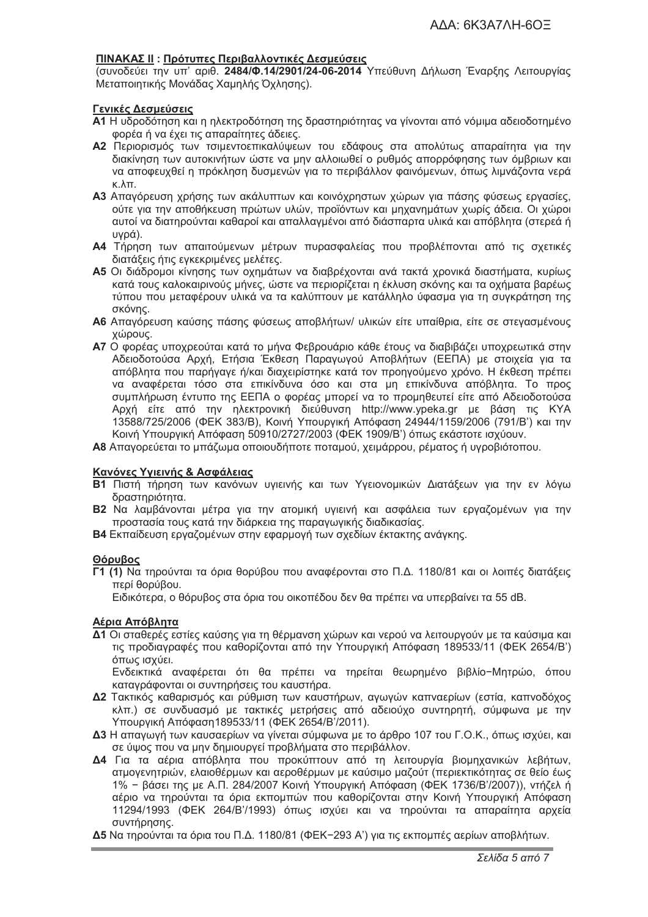#### <u>ΠΙΝΑΚΑΣ ΙΙ</u> : Πρότυπες Περιβαλλοντικές Δεσμεύσεις

(συνοδεύει την υπ' αριθ. **2484/Φ.14/2901/24-06-2014** Υπεύθυνη Δήλωση Έναρξης Λειτουργίας Μεταποιητικής Μονάδας Χαμηλής Όχλησης).

#### **Γενικές Δεσμεύσεις**

- **A1** Η υδροδότηση και η ηλεκτροδότηση της δραστηριότητας να γίνονται από νόμιμα αδειοδοτημένο φορέα ή να έχει τις απαραίτητες άδειες.
- **A2** Περιορισμός των τσιμεντοεπικαλύψεων του εδάφους στα απολύτως απαραίτητα για την διακίνηση των αυτοκινήτων ώστε να μην αλλοιωθεί ο ρυθμός απορρόφησης των όμβριων και να αποφευχθεί η πρόκληση δυσμενών για το περιβάλλον φαινόμενων, όπως λιμνάζοντα νερά κ.λπ.
- **Α3** Απαγόρευση χρήσης των ακάλυπτων και κοινόχρηστων χώρων για πάσης φύσεως εργασίες, ούτε για την αποθήκευση πρώτων υλών, προϊόντων και μηχανημάτων χωρίς άδεια. Οι χώροι αυτοί να διατηρούνται καθαροί και απαλλαγμένοι από διάσπαρτα υλικά και απόβλητα (στερεά ή υνρά).
- **Α4** Τήρηση των απαιτούμενων μέτρων πυρασφαλείας που προβλέπονται από τις σχετικές διατάξεις ήτις εγκεκριμένες μελέτες.
- **A5** Οι διάδρομοι κίνησης των οχημάτων να διαβρέχονται ανά τακτά χρονικά διαστήματα, κυρίως κατά τους καλοκαιρινούς μήνες, ώστε να περιορίζεται η έκλυση σκόνης και τα οχήματα βαρέως τύπου που μεταφέρουν υλικά να τα καλύπτουν με κατάλληλο ύφασμα για τη συγκράτηση της σκόνης.
- **A6** Απαγόρευση καύσης πάσης φύσεως αποβλήτων/ υλικών είτε υπαίθρια, είτε σε στεγασμένους χώρους.
- **A7** Ο φορέας υποχρεούται κατά το μήνα Φεβρουάριο κάθε έτους να διαβιβάζει υποχρεωτικά στην Αδειοδοτούσα Αρχή, Ετήσια Έκθεση Παραγωγού Αποβλήτων (ΕΕΠΑ) με στοιχεία για τα απόβλητα που παρήγαγε ή/και διαχειρίστηκε κατά τον προηγούμενο χρόνο. Η έκθεση πρέπει να αναφέρεται τόσο στα επικίνδυνα όσο και στα μη επικίνδυνα απόβλητα. Το προς συμπλήρωση έντυπο της ΕΕΠΑ ο φορέας μπορεί να το προμηθευτεί είτε από Αδειοδοτούσα Αρχή είτε από την ηλεκτρονική διεύθυνση http://www.ypeka.gr με βάση τις ΚΥΑ 13588/725/2006 (ΦΕΚ 383/Β), Κοινή Υπουργική Απόφαση 24944/1159/2006 (791/Β') και την Κοινή Υπουργική Απόφαση 50910/2727/2003 (ΦΕΚ 1909/Β') όπως εκάστοτε ισχύουν.
- **A8** Απαγορεύεται το μπάζωμα οποιουδήποτε ποταμού, χειμάρρου, ρέματος ή υγροβιότοπου.

# Κανόνες Υγιεινής & Ασφάλειας

- **Β1** Πιστή τήρηση των κανόνων υγιεινής και των Υγειονομικών Διατάξεων για την εν λόγω δραστηριότητα.
- **Β2** Να λαμβάνονται μέτρα για την ατομική υγιεινή και ασφάλεια των εργαζομένων για την προστασία τους κατά την διάρκεια της παραγωγικής διαδικασίας.
- **Β4** Εκπαίδευση εργαζομένων στην εφαρμογή των σχεδίων έκτακτης ανάγκης.

#### **2**2200000

**Γ1 (1)** Να τηρούνται τα όρια θορύβου που αναφέρονται στο Π.Δ. 1180/81 και οι λοιπές διατάξεις περί θορύβου.

Ειδικότερα, ο θόρυβος στα όρια του οικοπέδου δεν θα πρέπει να υπερβαίνει τα 55 dB.

#### **Αέρια Απόβλητα**

**Δ1** Οι σταθερές εστίες καύσης για τη θέρμανση χώρων και νερού να λειτουργούν με τα καύσιμα και τις προδιαγραφές που καθορίζονται από την Υπουργική Απόφαση 189533/11 (ΦΕΚ 2654/Β') όπως ισχύει.

Ενδεικτικά αναφέρεται ότι θα πρέπει να τηρείται θεωρημένο βιβλίο–Μητρώο, όπου καταγράφονται οι συντηρήσεις του καυστήρα.

- **Δ2** Τακτικός καθαρισμός και ρύθμιση των καυστήρων, αγωγών καπναερίων (εστία, καπνοδόχος κλπ.) σε συνδυασμό με τακτικές μετρήσεις από αδειούχο συντηρητή, σύμφωνα με την Υπουρνική Απόφαση 189533/11 (ΦΕΚ 2654/Β'/2011).
- **Δ3** Η απαγωγή των καυσαερίων να γίνεται σύμφωνα με το άρθρο 107 του Γ.Ο.Κ., όπως ισχύει, και σε ύψος που να μην δημιουργεί προβλήματα στο περιβάλλον.
- **Δ4** Για τα αέρια απόβλητα που προκύπτουν από τη λειτουργία βιομηχανικών λεβήτων, ατμογενητριών, ελαιοθέρμων και αεροθέρμων με καύσιμο μαζούτ (περιεκτικότητας σε θείο έως 1% − βάσει της με Α.Π. 284/2007 Κοινή Υπουργική Απόφαση (ΦΕΚ 1736/Β'/2007)), ντήζελ ή αέριο να τηρούνται τα όρια εκπομπών που καθορίζονται στην Κοινή Υπουρνική Απόφαση 11294/1993 (ΦΕΚ 264/Β'/1993) όπως ισχύει και να τηρούνται τα απαραίτητα αρχεία συντήρησης.
- **Δ5** Να τηρούνται τα όρια του Π.Δ. 1180/81 (ΦΕΚ−293 Α') για τις εκπομπές αερίων αποβλήτων.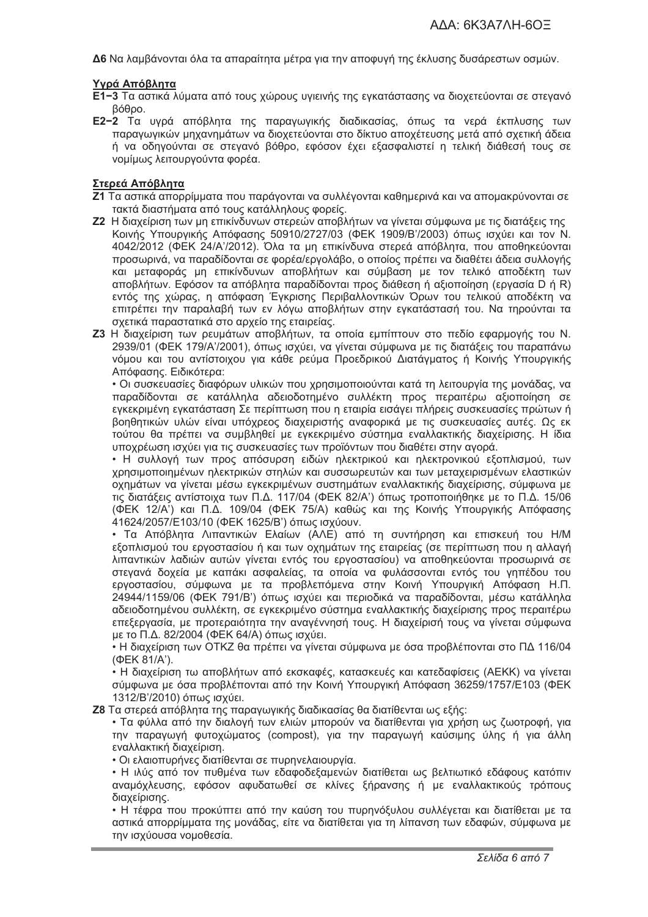Δ6 Να λαμβάνονται όλα τα απαραίτητα μέτρα νια την αποφυνή της έκλυσης δυσάρεστων οσμών.

# Υνρά Απόβλητα

- Ε1-3 Τα αστικά λύματα από τους χώρους υνιεινής της ενκατάστασης να διοχετεύονται σε στενανό βόθρο.
- Ε2-2 Τα υγρά απόβλητα της παραγωγικής διαδικασίας, όπως τα νερά έκπλυσης των παραγωγικών μηχανημάτων να διοχετεύονται στο δίκτυο αποχέτευσης μετά από σχετική άδεια ή να οδηγούνται σε στεγανό βόθρο, εφόσον έχει εξασφαλιστεί η τελική διάθεσή τους σε νομίμως λειτουργούντα φορέα.

# Στερεά Απόβλητα

- Ζ1 Τα αστικά απορρίμματα που παράγονται να συλλέγονται καθημερινά και να απομακρύνονται σε τακτά διαστήματα από τους κατάλληλους φορείς.
- Ζ2 Η διαχείριση των μη επικίνδυνων στερεών αποβλήτων να γίνεται σύμφωνα με τις διατάξεις της Κοινής Υπουργικής Απόφασης 50910/2727/03 (ΦΕΚ 1909/Β'/2003) όπως ισχύει και τον Ν. 4042/2012 (ΦΕΚ 24/Α'/2012). Όλα τα μη επικίνδυνα στερεά απόβλητα, που αποθηκεύονται προσωρινά, να παραδίδονται σε φορέα/εργολάβο, ο οποίος πρέπει να διαθέτει άδεια συλλογής και μεταφοράς μη επικίνδυνων αποβλήτων και σύμβαση με τον τελικό αποδέκτη των αποβλήτων. Εφόσον τα απόβλητα παραδίδονται προς διάθεση ή αξιοποίηση (εργασία D ή R) εντός της χώρας, η απόφαση Έγκρισης Περιβαλλοντικών Όρων του τελικού αποδέκτη να επιτρέπει την παραλαβή των εν λόνω αποβλήτων στην ενκατάστασή του. Να τηρούνται τα σχετικά παραστατικά στο αρχείο της εταιρείας.
- Ζ3 Η διαχείριση των ρευμάτων αποβλήτων, τα οποία εμπίπτουν στο πεδίο εφαρμογής του Ν. 2939/01 (ΦΕΚ 179/Α'/2001), όπως ισχύει, να γίνεται σύμφωνα με τις διατάξεις του παραπάνω νόμου και του αντίστοιχου για κάθε ρεύμα Προεδρικού Διατάγματος ή Κοινής Υπουργικής Απόφασης. Ειδικότερα:

• Οι συσκευασίες διαφόρων υλικών που χρησιμοποιούνται κατά τη λειτουργία της μονάδας, να παραδίδονται σε κατάλληλα αδειοδοτημένο συλλέκτη προς περαιτέρω αξιοποίηση σε εγκεκριμένη εγκατάσταση Σε περίπτωση που η εταιρία εισάγει πλήρεις συσκευασίες πρώτων ή βοηθητικών υλών είναι υπόχρεος διαχειριστής αναφορικά με τις συσκευασίες αυτές. Ως εκ τούτου θα πρέπει να συμβληθεί με εγκεκριμένο σύστημα εναλλακτικής διαχείρισης. Η ίδια υποχρέωση ισχύει για τις συσκευασίες των προϊόντων που διαθέτει στην αγορά.

• Η συλλογή των προς απόσυρση ειδών ηλεκτρικού και ηλεκτρονικού εξοπλισμού, των χρησιμοποιημένων ηλεκτρικών στηλών και συσσωρευτών και των μεταχειρισμένων ελαστικών οχημάτων να γίνεται μέσω εγκεκριμένων συστημάτων εναλλακτικής διαχείρισης, σύμφωνα με τις διατάξεις αντίστοιχα των Π.Δ. 117/04 (ΦΕΚ 82/Α') όπως τροποποιήθηκε με το Π.Δ. 15/06 (ΦΕΚ 12/Α') και Π.Δ. 109/04 (ΦΕΚ 75/Α) καθώς και της Κοινής Υπουργικής Απόφασης 41624/2057/Ε103/10 (ΦΕΚ 1625/Β') όπως ισχύουν.

• Τα Απόβλητα Λιπαντικών Ελαίων (ΑΛΕ) από τη συντήρηση και επισκευή του Η/Μ εξοπλισμού του εργοστασίου ή και των οχημάτων της εταιρείας (σε περίπτωση που η αλλαγή λιπαντικών λαδιών αυτών γίνεται εντός του εργοστασίου) να αποθηκεύονται προσωρινά σε στεγανά δοχεία με καπάκι ασφαλείας, τα οποία να φυλάσσονται εντός του γηπέδου του εργοστασίου, σύμφωνα με τα προβλεπόμενα στην Κοινή Υπουργική Απόφαση Η.Π. 24944/1159/06 (ΦΕΚ 791/Β') όπως ισχύει και περιοδικά να παραδίδονται, μέσω κατάλληλα αδειοδοτημένου συλλέκτη, σε εγκεκριμένο σύστημα εναλλακτικής διαχείρισης προς περαιτέρω επεξεργασία, με προτεραιότητα την αναγέννησή τους. Η διαχείρισή τους να γίνεται σύμφωνα με το Π.Δ. 82/2004 (ΦΕΚ 64/Α) όπως ισχύει.

• Η διαχείριση των ΟΤΚΖ θα πρέπει να νίνεται σύμφωνα με όσα προβλέπονται στο ΠΔ 116/04 (ФЕК 81/А').

• Η διαχείριση τω αποβλήτων από εκσκαφές, κατασκευές και κατεδαφίσεις (ΑΕΚΚ) να γίνεται σύμφωνα με όσα προβλέπονται από την Κοινή Υπουρνική Απόφαση 36259/1757/Ε103 (ΦΕΚ 1312/Β'/2010) όπως ισχύει.

Ζ8 Τα στερεά απόβλητα της παραγωγικής διαδικασίας θα διατίθενται ως εξής:

• Τα φύλλα από την διαλογή των ελιών μπορούν να διατίθενται για χρήση ως ζωοτροφή, για την παραγωγή φυτοχώματος (compost), για την παραγωγή καύσιμης ύλης ή για άλλη εναλλακτική διαχείριση.

• Οι ελαιοπυρήνες διατίθενται σε πυρηνελαιουρνία.

• Η ιλύς από τον πυθμένα των εδαφοδεξαμενών διατίθεται ως βελτιωτικό εδάφους κατόπιν αναμόχλευσης, εφόσον αφυδατωθεί σε κλίνες ξήρανσης ή με εναλλακτικούς τρόπους διαγείρισης.

• Η τέφρα που προκύπτει από την καύση του πυρηνόξυλου συλλέγεται και διατίθεται με τα αστικά απορρίμματα της μονάδας, είτε να διατίθεται για τη λίπανση των εδαφών, σύμφωνα με την ισχύουσα νομοθεσία.